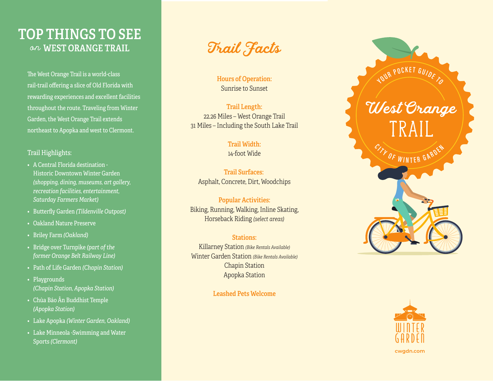# **TOP THINGS TO SEE** on WEST ORANGE TRAIL

The West Orange Trail is a world-class rail-trail offering a slice of Old Florida with rewarding experiences and excellent facilities throughout the route. Traveling from Winter Garden, the West Orange Trail extends northeast to Apopka and west to Clermont.

### Trail Highlights:

- A Central Florida destination Historic Downtown Winter Garden *(shopping, dining, museums, art gallery, recreation facilities, entertainment, Saturday Farmers Market)*
- Butterfly Garden *(Tildenville Outpost)*
- Oakland Nature Preserve
- Briley Farm *(Oakland)*
- Bridge over Turnpike *(part of the former Orange Belt Railway Line)*
- Path of Life Garden *(Chapin Station)*
- Playgrounds  *(Chapin Station, Apopka Station)*
- Chùa Báo Ân Buddhist Temple  *(Apopka Station)*
- Lake Apopka *(Winter Garden, Oakland)*
- Lake Minneola -Swimming and Water Sports *(Clermont)*

Trail Facts

**Hours of Operation:** Sunrise to Sunset

## **Trail Length:** 22.26 Miles – West Orange Trail 31 Miles – Including the South Lake Trail

## **Trail Width:**

14-foot Wide

**Trail Surfaces:** Asphalt, Concrete, Dirt, Woodchips

**Popular Activities:** Biking, Running, Walking, Inline Skating, Horseback Riding *(select areas)*

## **Stations:**

Killarney Station *(Bike Rentals Available)* Winter Garden Station *(Bike Rentals Available)* Chapin Station Apopka Station

**Leashed Pets Welcome**